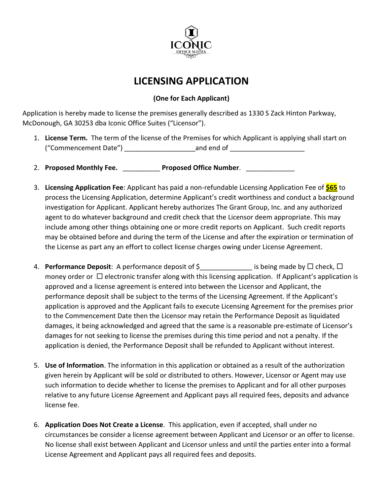

## **LICENSING APPLICATION**

## **(One for Each Applicant)**

Application is hereby made to license the premises generally described as 1330 S Zack Hinton Parkway, McDonough, GA 30253 dba Iconic Office Suites ("Licensor").

- 1. **License Term.** The term of the license of the Premises for which Applicant is applying shall start on ("Commencement Date") end and end of
- 2. Proposed Monthly Fee. \_\_\_\_\_\_\_\_\_\_\_\_\_ Proposed Office Number.
- 3. **Licensing Application Fee**: Applicant has paid a non-refundable Licensing Application Fee of **\$65** to process the Licensing Application, determine Applicant's credit worthiness and conduct a background investigation for Applicant. Applicant hereby authorizes The Grant Group, Inc. and any authorized agent to do whatever background and credit check that the Licensor deem appropriate. This may include among other things obtaining one or more credit reports on Applicant. Such credit reports may be obtained before and during the term of the License and after the expiration or termination of the License as part any an effort to collect license charges owing under License Agreement.
- 4. **Performance Deposit**: A performance deposit of  $\zeta$  \_\_\_\_\_\_\_\_\_\_\_\_\_\_ is being made by  $\Box$  check,  $\Box$ money order or  $\Box$  electronic transfer along with this licensing application. If Applicant's application is approved and a license agreement is entered into between the Licensor and Applicant, the performance deposit shall be subject to the terms of the Licensing Agreement. If the Applicant's application is approved and the Applicant fails to execute Licensing Agreement for the premises prior to the Commencement Date then the Licensor may retain the Performance Deposit as liquidated damages, it being acknowledged and agreed that the same is a reasonable pre-estimate of Licensor's damages for not seeking to license the premises during this time period and not a penalty. If the application is denied, the Performance Deposit shall be refunded to Applicant without interest.
- 5. **Use of Information**. The information in this application or obtained as a result of the authorization given herein by Applicant will be sold or distributed to others. However, Licensor or Agent may use such information to decide whether to license the premises to Applicant and for all other purposes relative to any future License Agreement and Applicant pays all required fees, deposits and advance license fee.
- 6. **Application Does Not Create a License**. This application, even if accepted, shall under no circumstances be consider a license agreement between Applicant and Licensor or an offer to license. No license shall exist between Applicant and Licensor unless and until the parties enter into a formal License Agreement and Applicant pays all required fees and deposits.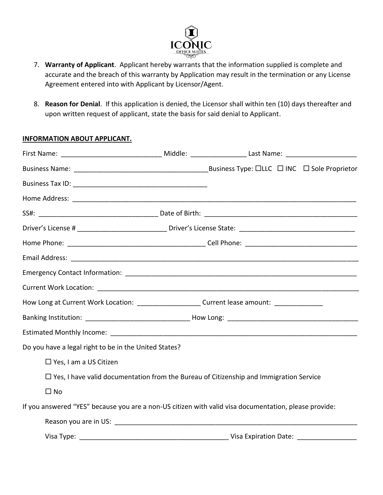

- 7. **Warranty of Applicant**. Applicant hereby warrants that the information supplied is complete and accurate and the breach of this warranty by Application may result in the termination or any License Agreement entered into with Applicant by Licensor/Agent.
- 8. **Reason for Denial**. If this application is denied, the Licensor shall within ten (10) days thereafter and upon written request of applicant, state the basis for said denial to Applicant.

## **INFORMATION ABOUT APPLICANT.**

| How Long at Current Work Location: _______________________Current lease amount: ___________________   |                                                                                               |  |
|-------------------------------------------------------------------------------------------------------|-----------------------------------------------------------------------------------------------|--|
|                                                                                                       |                                                                                               |  |
|                                                                                                       |                                                                                               |  |
| Do you have a legal right to be in the United States?                                                 |                                                                                               |  |
| $\Box$ Yes, I am a US Citizen                                                                         |                                                                                               |  |
|                                                                                                       | $\Box$ Yes, I have valid documentation from the Bureau of Citizenship and Immigration Service |  |
| $\Box$ No                                                                                             |                                                                                               |  |
| If you answered "YES" because you are a non-US citizen with valid visa documentation, please provide: |                                                                                               |  |
|                                                                                                       |                                                                                               |  |
|                                                                                                       |                                                                                               |  |